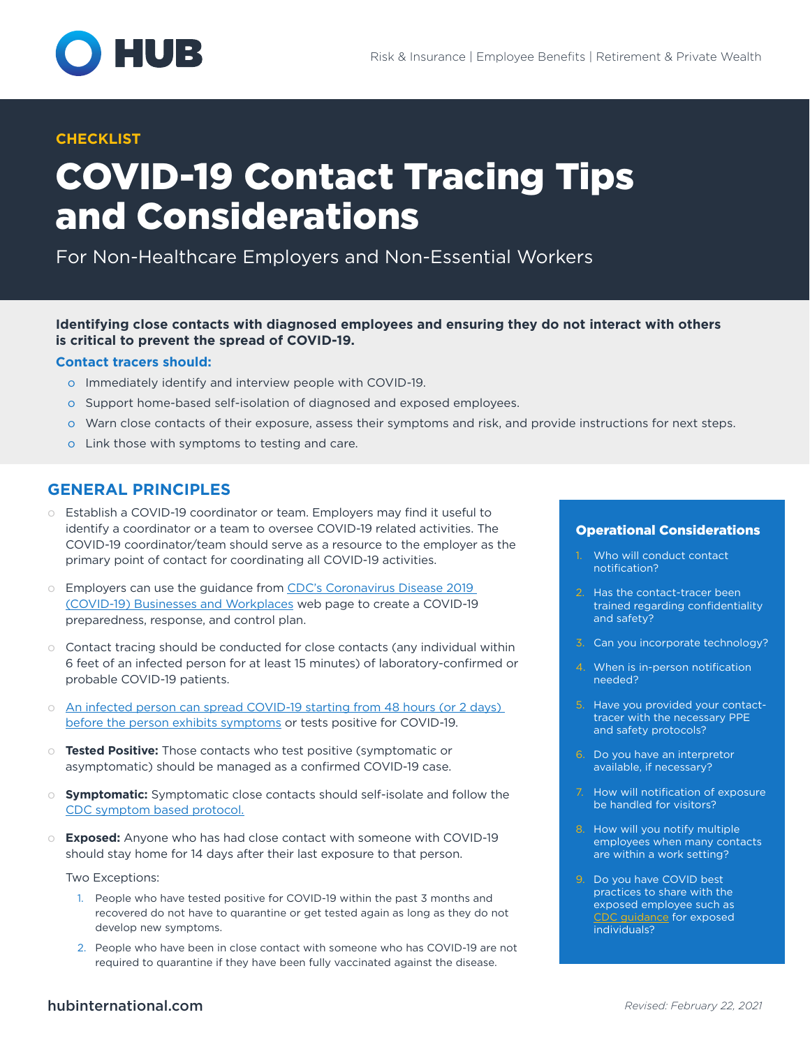

#### **CHECKLIST**

# COVID-19 Contact Tracing Tips and Considerations

For Non-Healthcare Employers and Non-Essential Workers

#### **Identifying close contacts with diagnosed employees and ensuring they do not interact with others is critical to prevent the spread of COVID-19.**

#### **Contact tracers should:**

- o Immediately identify and interview people with COVID-19.
- o Support home-based self-isolation of diagnosed and exposed employees.
- o Warn close contacts of their exposure, assess their symptoms and risk, and provide instructions for next steps.
- o Link those with symptoms to testing and care.

## **GENERAL PRINCIPLES**

- o Establish a COVID-19 coordinator or team. Employers may find it useful to identify a coordinator or a team to oversee COVID-19 related activities. The COVID-19 coordinator/team should serve as a resource to the employer as the primary point of contact for coordinating all COVID-19 activities.
- o Employers can use the guidance from CDC's Coronavirus Disease 2019 [\(COVID-19\) Businesses and Workplaces](https://www.cdc.gov/coronavirus/2019-ncov/community/organizations/businesses-employers.html) web page to create a COVID-19 preparedness, response, and control plan.
- o Contact tracing should be conducted for close contacts (any individual within 6 feet of an infected person for at least 15 minutes) of laboratory-confirmed or probable COVID-19 patients.
- o [An infected person can spread COVID-19 starting from 48 hours \(or 2 days\)](https://www.cdc.gov/coronavirus/2019-ncov/daily-life-coping/contact-tracing.html)  [before the person exhibits symptoms](https://www.cdc.gov/coronavirus/2019-ncov/daily-life-coping/contact-tracing.html) or tests positive for COVID-19.
- o **Tested Positive:** Those contacts who test positive (symptomatic or asymptomatic) should be managed as a confirmed COVID-19 case.
- o **Symptomatic:** Symptomatic close contacts should self-isolate and follow the [CDC symptom based protocol.](https://www.cdc.gov/coronavirus/2019-ncov/hcp/disposition-in-home-patients.html)
- o **Exposed:** Anyone who has had close contact with someone with COVID-19 should stay home for 14 days after their last exposure to that person.

Two Exceptions:

- 1. People who have tested positive for COVID-19 within the past 3 months and recovered do not have to quarantine or get tested again as long as they do not develop new symptoms.
- 2. People who have been in close contact with someone who has COVID-19 are not required to quarantine if they have been fully vaccinated against the disease.

#### Operational Considerations

- Who will conduct contact notification?
- 2. Has the contact-tracer been trained regarding confidentiality and safety?
- 3. Can you incorporate technology?
- 4. When is in-person notification needed?
- 5. Have you provided your contacttracer with the necessary PPE and safety protocols?
- 6. Do you have an interpretor available, if necessary?
- 7. How will notification of exposure be handled for visitors?
- 8. How will you notify multiple employees when many contacts are within a work setting?
- 9. Do you have COVID best practices to share with the exposed employee such as [CDC guidance](https://www.cdc.gov/coronavirus/2019-ncov/if-you-are-sick/index.html) for exposed individuals?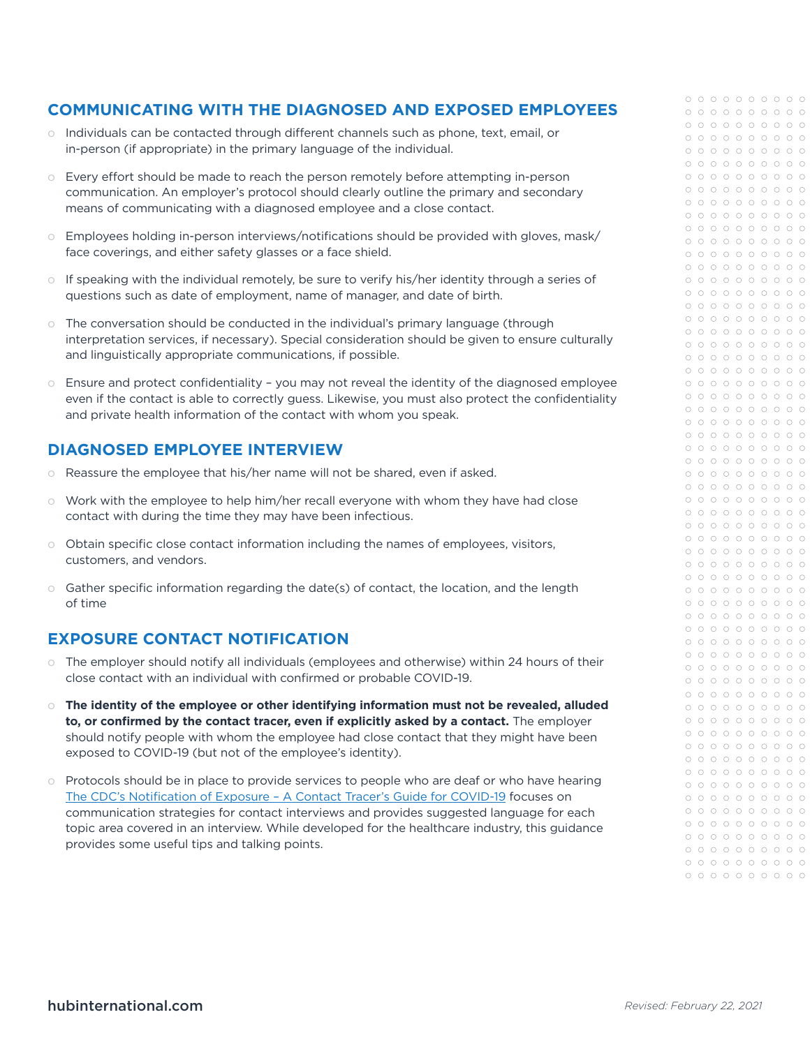## **COMMUNICATING WITH THE DIAGNOSED AND EXPOSED EMPLOYEES**

- o Individuals can be contacted through different channels such as phone, text, email, or in-person (if appropriate) in the primary language of the individual.
- o Every effort should be made to reach the person remotely before attempting in-person communication. An employer's protocol should clearly outline the primary and secondary means of communicating with a diagnosed employee and a close contact.
- o Employees holding in-person interviews/notifications should be provided with gloves, mask/ face coverings, and either safety glasses or a face shield.
- o If speaking with the individual remotely, be sure to verify his/her identity through a series of questions such as date of employment, name of manager, and date of birth.
- o The conversation should be conducted in the individual's primary language (through interpretation services, if necessary). Special consideration should be given to ensure culturally and linguistically appropriate communications, if possible.
- $\circ$  Ensure and protect confidentiality you may not reveal the identity of the diagnosed employee even if the contact is able to correctly guess. Likewise, you must also protect the confidentiality and private health information of the contact with whom you speak.

## **DIAGNOSED EMPLOYEE INTERVIEW**

- o Reassure the employee that his/her name will not be shared, even if asked.
- o Work with the employee to help him/her recall everyone with whom they have had close contact with during the time they may have been infectious.
- o Obtain specific close contact information including the names of employees, visitors, customers, and vendors.
- o Gather specific information regarding the date(s) of contact, the location, and the length of time

# **EXPOSURE CONTACT NOTIFICATION**

- o The employer should notify all individuals (employees and otherwise) within 24 hours of their close contact with an individual with confirmed or probable COVID-19.
- o **The identity of the employee or other identifying information must not be revealed, alluded to, or confirmed by the contact tracer, even if explicitly asked by a contact.** The employer should notify people with whom the employee had close contact that they might have been exposed to COVID-19 (but not of the employee's identity).
- o Protocols should be in place to provide services to people who are deaf or who have hearing [The CDC's Notification of Exposure – A Contact Tracer's Guide for COVID-19](https://www.cdc.gov/coronavirus/2019-ncov/php/notification-of-exposure.html) focuses on communication strategies for contact interviews and provides suggested language for each topic area covered in an interview. While developed for the healthcare industry, this guidance provides some useful tips and talking points.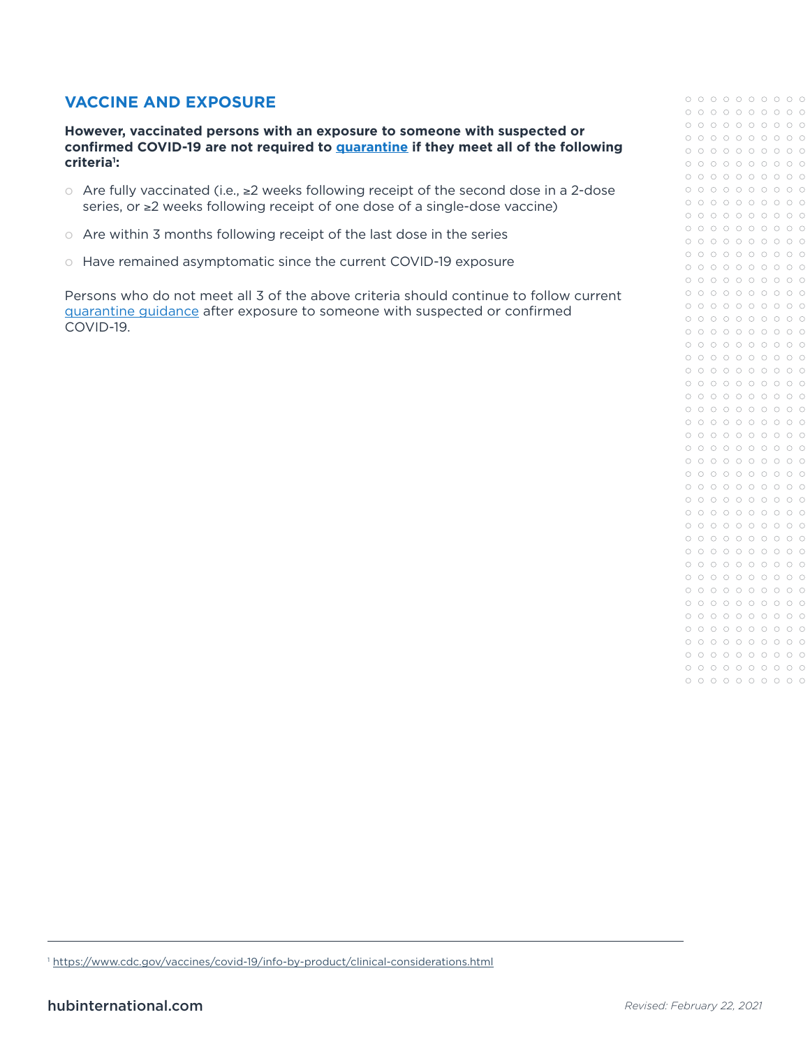# **VACCINE AND EXPOSURE**

**However, vaccinated persons with an exposure to someone with suspected or confirmed COVID-19 are not required to [quarantine](https://www.cdc.gov/coronavirus/2019-ncov/if-you-are-sick/quarantine.html) if they meet all of the following criteria1 :**

- o Are fully vaccinated (i.e., ≥2 weeks following receipt of the second dose in a 2-dose series, or ≥2 weeks following receipt of one dose of a single-dose vaccine)
- o Are within 3 months following receipt of the last dose in the series
- o Have remained asymptomatic since the current COVID-19 exposure

Persons who do not meet all 3 of the above criteria should continue to follow current [quarantine guidance](https://www.cdc.gov/coronavirus/2019-ncov/if-you-are-sick/quarantine.html) after exposure to someone with suspected or confirmed COVID-19.

<sup>1</sup> <https://www.cdc.gov/vaccines/covid-19/info-by-product/clinical-considerations.html>